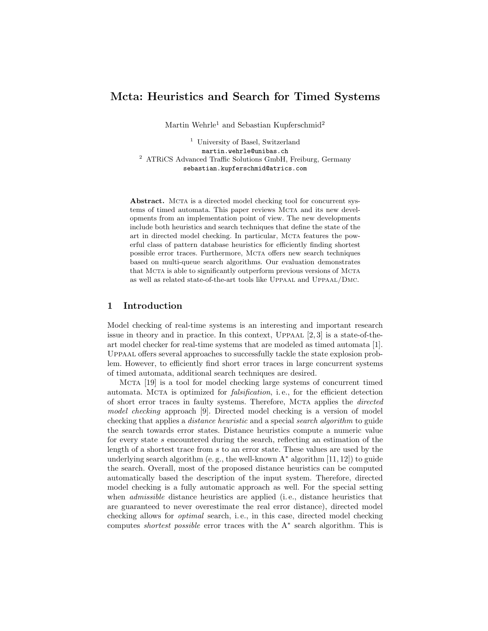# Mcta: Heuristics and Search for Timed Systems

Martin Wehrle<sup>1</sup> and Sebastian Kupferschmid<sup>2</sup>

<sup>1</sup> University of Basel, Switzerland martin.wehrle@unibas.ch <sup>2</sup> ATRiCS Advanced Traffic Solutions GmbH, Freiburg, Germany sebastian.kupferschmid@atrics.com

Abstract. MCTA is a directed model checking tool for concurrent systems of timed automata. This paper reviews MCTA and its new developments from an implementation point of view. The new developments include both heuristics and search techniques that define the state of the art in directed model checking. In particular, Mcta features the powerful class of pattern database heuristics for efficiently finding shortest possible error traces. Furthermore, Mcta offers new search techniques based on multi-queue search algorithms. Our evaluation demonstrates that Mcta is able to significantly outperform previous versions of Mcta as well as related state-of-the-art tools like Uppaal and Uppaal/Dmc.

# 1 Introduction

Model checking of real-time systems is an interesting and important research issue in theory and in practice. In this context,  $UPPAAL$  [2, 3] is a state-of-theart model checker for real-time systems that are modeled as timed automata [1]. Uppaal offers several approaches to successfully tackle the state explosion problem. However, to efficiently find short error traces in large concurrent systems of timed automata, additional search techniques are desired.

Mcta [19] is a tool for model checking large systems of concurrent timed automata. Mcta is optimized for falsification, i. e., for the efficient detection of short error traces in faulty systems. Therefore, Mcta applies the directed model checking approach [9]. Directed model checking is a version of model checking that applies a distance heuristic and a special search algorithm to guide the search towards error states. Distance heuristics compute a numeric value for every state s encountered during the search, reflecting an estimation of the length of a shortest trace from s to an error state. These values are used by the underlying search algorithm (e.g., the well-known  $A^*$  algorithm [11, 12]) to guide the search. Overall, most of the proposed distance heuristics can be computed automatically based the description of the input system. Therefore, directed model checking is a fully automatic approach as well. For the special setting when *admissible* distance heuristics are applied (i.e., distance heuristics that are guaranteed to never overestimate the real error distance), directed model checking allows for optimal search, i. e., in this case, directed model checking computes *shortest possible* error traces with the A<sup>∗</sup> search algorithm. This is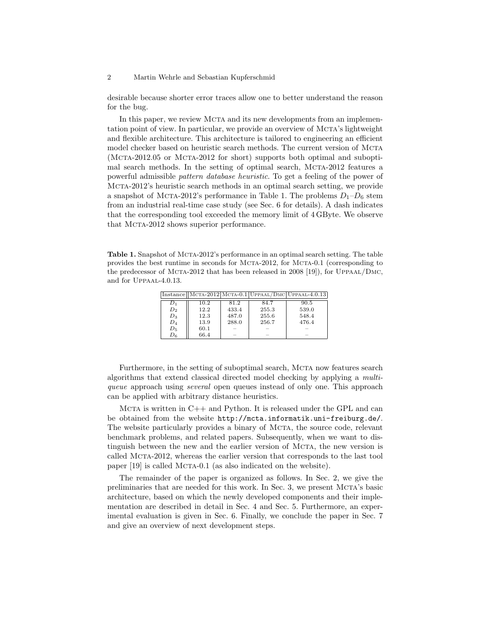desirable because shorter error traces allow one to better understand the reason for the bug.

In this paper, we review MCTA and its new developments from an implementation point of view. In particular, we provide an overview of Mcta's lightweight and flexible architecture. This architecture is tailored to engineering an efficient model checker based on heuristic search methods. The current version of Mcta (Mcta-2012.05 or Mcta-2012 for short) supports both optimal and suboptimal search methods. In the setting of optimal search, Mcta-2012 features a powerful admissible pattern database heuristic. To get a feeling of the power of Mcta-2012's heuristic search methods in an optimal search setting, we provide a snapshot of MCTA-2012's performance in Table 1. The problems  $D_1$ - $D_6$  stem from an industrial real-time case study (see Sec. 6 for details). A dash indicates that the corresponding tool exceeded the memory limit of 4 GByte. We observe that MCTA-2012 shows superior performance.

Table 1. Snapshot of Mcta-2012's performance in an optimal search setting. The table provides the best runtime in seconds for Mcta-2012, for Mcta-0.1 (corresponding to the predecessor of MCTA-2012 that has been released in 2008 [19]), for UPPAAL/DMC, and for Uppaal-4.0.13.

|       |      |       |       | Instance   MCTA-2012 MCTA-0.1 UPPAAL/DMC UPPAAL-4.0.13 |
|-------|------|-------|-------|--------------------------------------------------------|
| $D_1$ | 10.2 | 81.2  | 84.7  | 90.5                                                   |
| $D_2$ | 12.2 | 433.4 | 255.3 | 539.0                                                  |
| $D_3$ | 12.3 | 487.0 | 255.6 | 548.4                                                  |
| $D_4$ | 13.9 | 288.0 | 256.7 | 476.4                                                  |
| $D_5$ | 60.1 |       |       |                                                        |
| $D_6$ | 66.4 | -     | --    | $\sim$                                                 |

Furthermore, in the setting of suboptimal search, Mcta now features search algorithms that extend classical directed model checking by applying a multiqueue approach using several open queues instead of only one. This approach can be applied with arbitrary distance heuristics.

MCTA is written in  $C_{++}$  and Python. It is released under the GPL and can be obtained from the website http://mcta.informatik.uni-freiburg.de/. The website particularly provides a binary of Mcta, the source code, relevant benchmark problems, and related papers. Subsequently, when we want to distinguish between the new and the earlier version of Mcta, the new version is called Mcta-2012, whereas the earlier version that corresponds to the last tool paper [19] is called Mcta-0.1 (as also indicated on the website).

The remainder of the paper is organized as follows. In Sec. 2, we give the preliminaries that are needed for this work. In Sec. 3, we present Mcta's basic architecture, based on which the newly developed components and their implementation are described in detail in Sec. 4 and Sec. 5. Furthermore, an experimental evaluation is given in Sec. 6. Finally, we conclude the paper in Sec. 7 and give an overview of next development steps.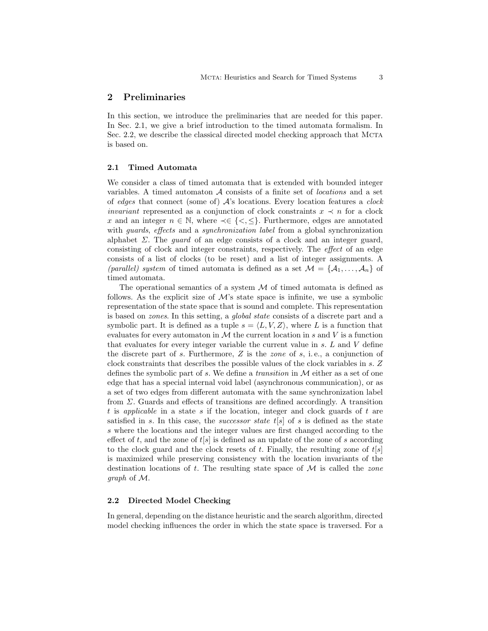### 2 Preliminaries

In this section, we introduce the preliminaries that are needed for this paper. In Sec. 2.1, we give a brief introduction to the timed automata formalism. In Sec. 2.2, we describe the classical directed model checking approach that MCTA is based on.

#### 2.1 Timed Automata

We consider a class of timed automata that is extended with bounded integer variables. A timed automaton  $A$  consists of a finite set of *locations* and a set of edges that connect (some of)  $A$ 's locations. Every location features a *clock invariant* represented as a conjunction of clock constraints  $x \prec n$  for a clock x and an integer  $n \in \mathbb{N}$ , where  $\prec \in \{\leq, \leq\}$ . Furthermore, edges are annotated with *guards*, *effects* and a *synchronization label* from a global synchronization alphabet  $\Sigma$ . The *guard* of an edge consists of a clock and an integer guard, consisting of clock and integer constraints, respectively. The effect of an edge consists of a list of clocks (to be reset) and a list of integer assignments. A (parallel) system of timed automata is defined as a set  $\mathcal{M} = \{A_1, \ldots, A_n\}$  of timed automata.

The operational semantics of a system  $\mathcal M$  of timed automata is defined as follows. As the explicit size of  $\mathcal{M}$ 's state space is infinite, we use a symbolic representation of the state space that is sound and complete. This representation is based on zones. In this setting, a global state consists of a discrete part and a symbolic part. It is defined as a tuple  $s = \langle L, V, Z \rangle$ , where L is a function that evaluates for every automaton in  $\mathcal M$  the current location in s and V is a function that evaluates for every integer variable the current value in  $s$ .  $L$  and  $V$  define the discrete part of s. Furthermore,  $Z$  is the *zone* of  $s$ , i.e., a conjunction of clock constraints that describes the possible values of the clock variables in s. Z defines the symbolic part of s. We define a transition in  $\mathcal M$  either as a set of one edge that has a special internal void label (asynchronous communication), or as a set of two edges from different automata with the same synchronization label from  $\Sigma$ . Guards and effects of transitions are defined accordingly. A transition t is *applicable* in a state s if the location, integer and clock guards of  $t$  are satisfied in s. In this case, the *successor state*  $t[s]$  of s is defined as the state s where the locations and the integer values are first changed according to the effect of t, and the zone of  $t[s]$  is defined as an update of the zone of s according to the clock guard and the clock resets of t. Finally, the resulting zone of  $t[s]$ is maximized while preserving consistency with the location invariants of the destination locations of  $t$ . The resulting state space of  $\mathcal M$  is called the *zone* graph of M.

### 2.2 Directed Model Checking

In general, depending on the distance heuristic and the search algorithm, directed model checking influences the order in which the state space is traversed. For a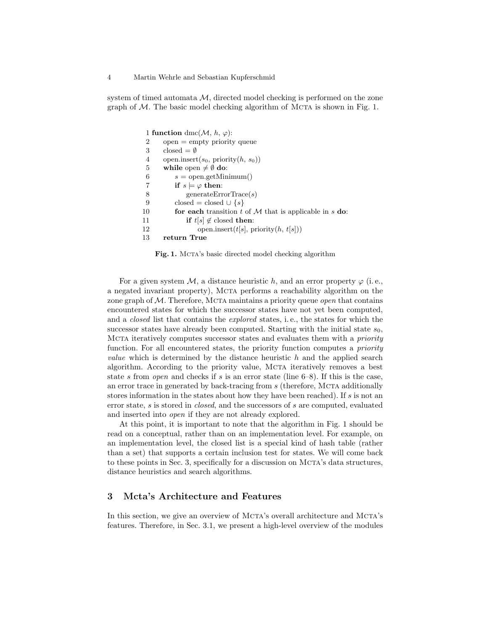system of timed automata  $M$ , directed model checking is performed on the zone graph of  $M$ . The basic model checking algorithm of MCTA is shown in Fig. 1.

|    | 1 function dmc( $M$ , $h$ , $\varphi$ ):               |
|----|--------------------------------------------------------|
| 2  | $open = empty priority queue$                          |
| 3  | closed $=$ 0                                           |
| 4  | open.insert $(s_0, \text{ priority}(h, s_0))$          |
| 5  | while open $\neq \emptyset$ do:                        |
| 6  | $s =$ open.getMinimum()                                |
| 7  | if $s \models \varphi$ then:                           |
| 8  | generate Error Trace $(s)$                             |
| 9  | closed = closed $\cup$ {s}                             |
| 10 | for each transition t of M that is applicable in s do: |
| 11 | if $t s  \notin$ closed then:                          |
| 12 | open.insert $(t[s],$ priority $(h, t[s]))$             |
| 13 | return True                                            |

Fig. 1. Mcta's basic directed model checking algorithm

For a given system M, a distance heuristic h, and an error property  $\varphi$  (i.e., a negated invariant property), Mcta performs a reachability algorithm on the zone graph of  $\mathcal{M}$ . Therefore, MCTA maintains a priority queue *open* that contains encountered states for which the successor states have not yet been computed, and a closed list that contains the explored states, i. e., the states for which the successor states have already been computed. Starting with the initial state  $s_0$ , Mcta iteratively computes successor states and evaluates them with a priority function. For all encountered states, the priority function computes a *priority value* which is determined by the distance heuristic  $h$  and the applied search algorithm. According to the priority value, Mcta iteratively removes a best state s from *open* and checks if s is an error state (line  $6-8$ ). If this is the case, an error trace in generated by back-tracing from s (therefore, MCTA additionally stores information in the states about how they have been reached). If  $s$  is not an error state, s is stored in closed, and the successors of s are computed, evaluated and inserted into open if they are not already explored.

At this point, it is important to note that the algorithm in Fig. 1 should be read on a conceptual, rather than on an implementation level. For example, on an implementation level, the closed list is a special kind of hash table (rather than a set) that supports a certain inclusion test for states. We will come back to these points in Sec. 3, specifically for a discussion on Mcta's data structures, distance heuristics and search algorithms.

# 3 Mcta's Architecture and Features

In this section, we give an overview of Mcta's overall architecture and Mcta's features. Therefore, in Sec. 3.1, we present a high-level overview of the modules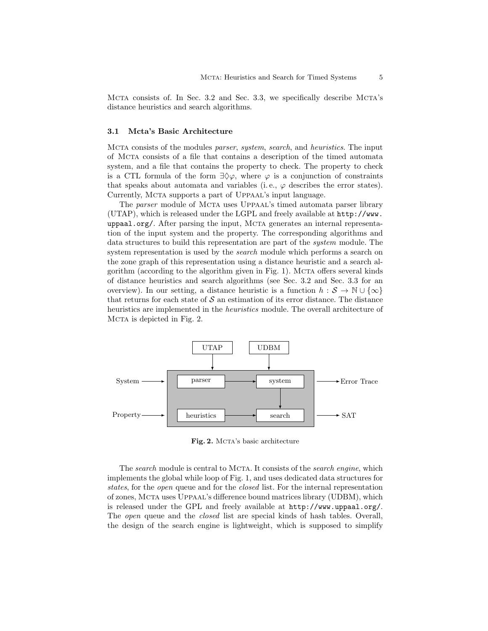Mcta consists of. In Sec. 3.2 and Sec. 3.3, we specifically describe Mcta's distance heuristics and search algorithms.

### 3.1 Mcta's Basic Architecture

Mcta consists of the modules parser, system, search, and heuristics. The input of Mcta consists of a file that contains a description of the timed automata system, and a file that contains the property to check. The property to check is a CTL formula of the form  $\exists \Diamond \varphi$ , where  $\varphi$  is a conjunction of constraints that speaks about automata and variables (i.e.,  $\varphi$  describes the error states). Currently, Mcta supports a part of Uppaal's input language.

The *parser* module of MCTA uses UPPAAL's timed automata parser library (UTAP), which is released under the LGPL and freely available at http://www. uppaal.org/. After parsing the input, Mcta generates an internal representation of the input system and the property. The corresponding algorithms and data structures to build this representation are part of the system module. The system representation is used by the search module which performs a search on the zone graph of this representation using a distance heuristic and a search algorithm (according to the algorithm given in Fig. 1). Mcta offers several kinds of distance heuristics and search algorithms (see Sec. 3.2 and Sec. 3.3 for an overview). In our setting, a distance heuristic is a function  $h : \mathcal{S} \to \mathbb{N} \cup {\infty}$ that returns for each state of  $S$  an estimation of its error distance. The distance heuristics are implemented in the heuristics module. The overall architecture of Mcta is depicted in Fig. 2.



Fig. 2. MCTA's basic architecture

The search module is central to MCTA. It consists of the search engine, which implements the global while loop of Fig. 1, and uses dedicated data structures for states, for the open queue and for the closed list. For the internal representation of zones, Mcta uses Uppaal's difference bound matrices library (UDBM), which is released under the GPL and freely available at http://www.uppaal.org/. The open queue and the closed list are special kinds of hash tables. Overall, the design of the search engine is lightweight, which is supposed to simplify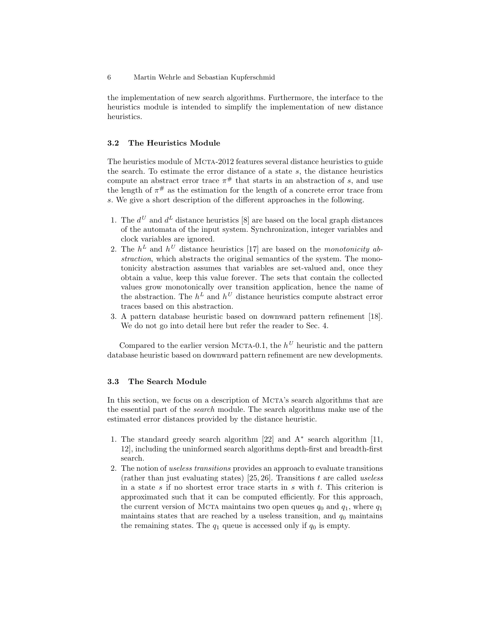the implementation of new search algorithms. Furthermore, the interface to the heuristics module is intended to simplify the implementation of new distance heuristics.

### 3.2 The Heuristics Module

The heuristics module of MCTA-2012 features several distance heuristics to guide the search. To estimate the error distance of a state  $s$ , the distance heuristics compute an abstract error trace  $\pi^{\#}$  that starts in an abstraction of s, and use the length of  $\pi^{\#}$  as the estimation for the length of a concrete error trace from s. We give a short description of the different approaches in the following.

- 1. The  $d^U$  and  $d^L$  distance heuristics [8] are based on the local graph distances of the automata of the input system. Synchronization, integer variables and clock variables are ignored.
- 2. The  $h^L$  and  $h^U$  distance heuristics [17] are based on the *monotonicity* abstraction, which abstracts the original semantics of the system. The monotonicity abstraction assumes that variables are set-valued and, once they obtain a value, keep this value forever. The sets that contain the collected values grow monotonically over transition application, hence the name of the abstraction. The  $h^L$  and  $h^U$  distance heuristics compute abstract error traces based on this abstraction.
- 3. A pattern database heuristic based on downward pattern refinement [18]. We do not go into detail here but refer the reader to Sec. 4.

Compared to the earlier version MCTA-0.1, the  $h^U$  heuristic and the pattern database heuristic based on downward pattern refinement are new developments.

### 3.3 The Search Module

In this section, we focus on a description of Mcta's search algorithms that are the essential part of the search module. The search algorithms make use of the estimated error distances provided by the distance heuristic.

- 1. The standard greedy search algorithm [22] and A<sup>∗</sup> search algorithm [11, 12], including the uninformed search algorithms depth-first and breadth-first search.
- 2. The notion of useless transitions provides an approach to evaluate transitions (rather than just evaluating states) [25, 26]. Transitions  $t$  are called useless in a state s if no shortest error trace starts in s with t. This criterion is approximated such that it can be computed efficiently. For this approach, the current version of MCTA maintains two open queues  $q_0$  and  $q_1$ , where  $q_1$ maintains states that are reached by a useless transition, and  $q_0$  maintains the remaining states. The  $q_1$  queue is accessed only if  $q_0$  is empty.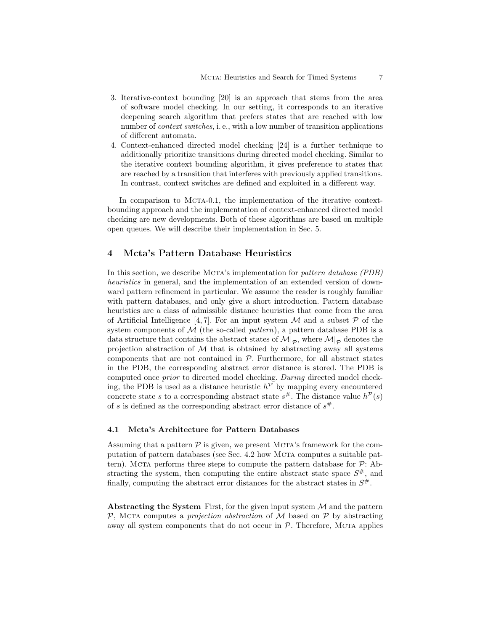- 3. Iterative-context bounding [20] is an approach that stems from the area of software model checking. In our setting, it corresponds to an iterative deepening search algorithm that prefers states that are reached with low number of *context switches*, i.e., with a low number of transition applications of different automata.
- 4. Context-enhanced directed model checking [24] is a further technique to additionally prioritize transitions during directed model checking. Similar to the iterative context bounding algorithm, it gives preference to states that are reached by a transition that interferes with previously applied transitions. In contrast, context switches are defined and exploited in a different way.

In comparison to MCTA-0.1, the implementation of the iterative contextbounding approach and the implementation of context-enhanced directed model checking are new developments. Both of these algorithms are based on multiple open queues. We will describe their implementation in Sec. 5.

# 4 Mcta's Pattern Database Heuristics

In this section, we describe Mcta's implementation for pattern database (PDB) heuristics in general, and the implementation of an extended version of downward pattern refinement in particular. We assume the reader is roughly familiar with pattern databases, and only give a short introduction. Pattern database heuristics are a class of admissible distance heuristics that come from the area of Artificial Intelligence [4, 7]. For an input system  $\mathcal M$  and a subset  $\mathcal P$  of the system components of  $\mathcal M$  (the so-called *pattern*), a pattern database PDB is a data structure that contains the abstract states of  $\mathcal{M}|_{\mathcal{P}}$ , where  $\mathcal{M}|_{\mathcal{P}}$  denotes the projection abstraction of  $\mathcal M$  that is obtained by abstracting away all systems components that are not contained in  $P$ . Furthermore, for all abstract states in the PDB, the corresponding abstract error distance is stored. The PDB is computed once prior to directed model checking. During directed model checking, the PDB is used as a distance heuristic  $h^{\mathcal{P}}$  by mapping every encountered concrete state s to a corresponding abstract state  $s^{\#}$ . The distance value  $h^{\mathcal{P}}(s)$ of s is defined as the corresponding abstract error distance of  $s^{\#}$ .

# 4.1 Mcta's Architecture for Pattern Databases

Assuming that a pattern  $P$  is given, we present McTA's framework for the computation of pattern databases (see Sec. 4.2 how MCTA computes a suitable pattern). MCTA performs three steps to compute the pattern database for  $P$ : Abstracting the system, then computing the entire abstract state space  $S^{\#}$ , and finally, computing the abstract error distances for the abstract states in  $S^*$ .

Abstracting the System First, for the given input system  $\mathcal M$  and the pattern  $P$ , MCTA computes a *projection abstraction* of  $M$  based on  $P$  by abstracting away all system components that do not occur in  $P$ . Therefore, MCTA applies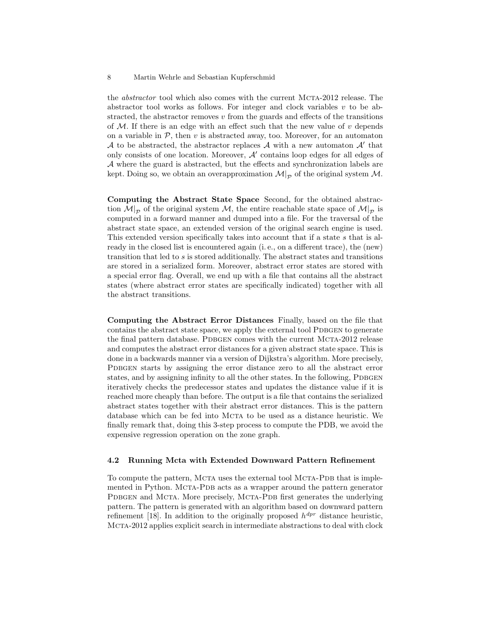the abstractor tool which also comes with the current Mcta-2012 release. The abstractor tool works as follows. For integer and clock variables  $v$  to be abstracted, the abstractor removes  $v$  from the guards and effects of the transitions of  $M$ . If there is an edge with an effect such that the new value of  $v$  depends on a variable in  $P$ , then v is abstracted away, too. Moreover, for an automaton A to be abstracted, the abstractor replaces A with a new automaton  $A'$  that only consists of one location. Moreover,  $A'$  contains loop edges for all edges of A where the guard is abstracted, but the effects and synchronization labels are kept. Doing so, we obtain an overapproximation  $\mathcal{M}|_{\mathcal{P}}$  of the original system  $\mathcal{M}$ .

Computing the Abstract State Space Second, for the obtained abstraction  $\mathcal{M}|_{\mathcal{P}}$  of the original system  $\mathcal{M}$ , the entire reachable state space of  $\mathcal{M}|_{\mathcal{P}}$  is computed in a forward manner and dumped into a file. For the traversal of the abstract state space, an extended version of the original search engine is used. This extended version specifically takes into account that if a state s that is already in the closed list is encountered again (i. e., on a different trace), the (new) transition that led to s is stored additionally. The abstract states and transitions are stored in a serialized form. Moreover, abstract error states are stored with a special error flag. Overall, we end up with a file that contains all the abstract states (where abstract error states are specifically indicated) together with all the abstract transitions.

Computing the Abstract Error Distances Finally, based on the file that contains the abstract state space, we apply the external tool PDBGEN to generate the final pattern database. PDBGEN comes with the current MCTA-2012 release and computes the abstract error distances for a given abstract state space. This is done in a backwards manner via a version of Dijkstra's algorithm. More precisely, PDBGEN starts by assigning the error distance zero to all the abstract error states, and by assigning infinity to all the other states. In the following, PDBGEN iteratively checks the predecessor states and updates the distance value if it is reached more cheaply than before. The output is a file that contains the serialized abstract states together with their abstract error distances. This is the pattern database which can be fed into MCTA to be used as a distance heuristic. We finally remark that, doing this 3-step process to compute the PDB, we avoid the expensive regression operation on the zone graph.

### 4.2 Running Mcta with Extended Downward Pattern Refinement

To compute the pattern, MCTA uses the external tool MCTA-PDB that is implemented in Python. MCTA-PDB acts as a wrapper around the pattern generator PDBGEN and MCTA. More precisely, MCTA-PDB first generates the underlying pattern. The pattern is generated with an algorithm based on downward pattern refinement [18]. In addition to the originally proposed  $h^{dpr}$  distance heuristic, Mcta-2012 applies explicit search in intermediate abstractions to deal with clock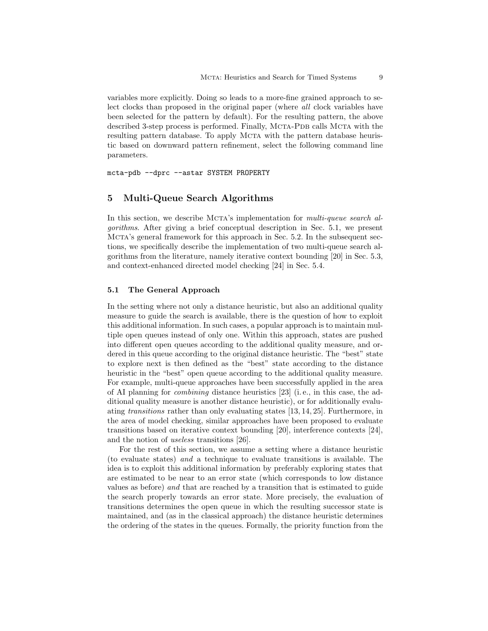variables more explicitly. Doing so leads to a more-fine grained approach to select clocks than proposed in the original paper (where all clock variables have been selected for the pattern by default). For the resulting pattern, the above described 3-step process is performed. Finally, MCTA-PDB calls MCTA with the resulting pattern database. To apply MCTA with the pattern database heuristic based on downward pattern refinement, select the following command line parameters.

mcta-pdb --dprc --astar SYSTEM PROPERTY

## 5 Multi-Queue Search Algorithms

In this section, we describe MCTA's implementation for *multi-queue search al*gorithms. After giving a brief conceptual description in Sec. 5.1, we present Mcta's general framework for this approach in Sec. 5.2. In the subsequent sections, we specifically describe the implementation of two multi-queue search algorithms from the literature, namely iterative context bounding [20] in Sec. 5.3, and context-enhanced directed model checking [24] in Sec. 5.4.

### 5.1 The General Approach

In the setting where not only a distance heuristic, but also an additional quality measure to guide the search is available, there is the question of how to exploit this additional information. In such cases, a popular approach is to maintain multiple open queues instead of only one. Within this approach, states are pushed into different open queues according to the additional quality measure, and ordered in this queue according to the original distance heuristic. The "best" state to explore next is then defined as the "best" state according to the distance heuristic in the "best" open queue according to the additional quality measure. For example, multi-queue approaches have been successfully applied in the area of AI planning for combining distance heuristics [23] (i. e., in this case, the additional quality measure is another distance heuristic), or for additionally evaluating transitions rather than only evaluating states [13, 14, 25]. Furthermore, in the area of model checking, similar approaches have been proposed to evaluate transitions based on iterative context bounding [20], interference contexts [24], and the notion of useless transitions [26].

For the rest of this section, we assume a setting where a distance heuristic (to evaluate states) and a technique to evaluate transitions is available. The idea is to exploit this additional information by preferably exploring states that are estimated to be near to an error state (which corresponds to low distance values as before) and that are reached by a transition that is estimated to guide the search properly towards an error state. More precisely, the evaluation of transitions determines the open queue in which the resulting successor state is maintained, and (as in the classical approach) the distance heuristic determines the ordering of the states in the queues. Formally, the priority function from the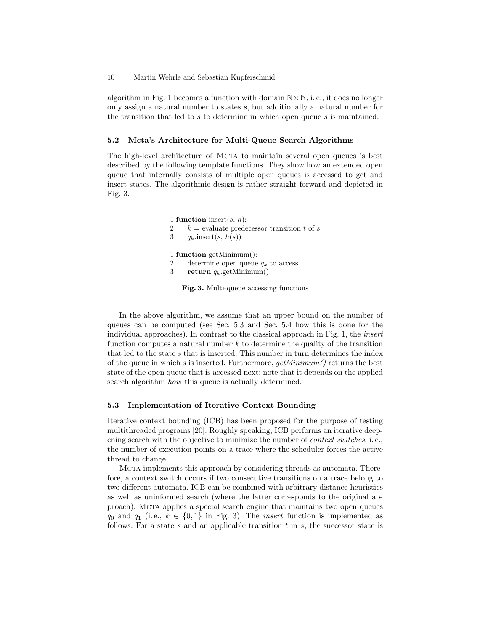algorithm in Fig. 1 becomes a function with domain  $\mathbb{N} \times \mathbb{N}$ , i.e., it does no longer only assign a natural number to states s, but additionally a natural number for the transition that led to s to determine in which open queue s is maintained.

### 5.2 Mcta's Architecture for Multi-Queue Search Algorithms

The high-level architecture of Mcta to maintain several open queues is best described by the following template functions. They show how an extended open queue that internally consists of multiple open queues is accessed to get and insert states. The algorithmic design is rather straight forward and depicted in Fig. 3.

1 function insert $(s, h)$ :

- 2  $k =$  evaluate predecessor transition t of s
- 3  $q_k$ .insert $(s, h(s))$

1 function getMinimum():

- 2 determine open queue  $q_k$  to access
- 3 return  $q_k$ .getMinimum()

Fig. 3. Multi-queue accessing functions

In the above algorithm, we assume that an upper bound on the number of queues can be computed (see Sec. 5.3 and Sec. 5.4 how this is done for the individual approaches). In contrast to the classical approach in Fig. 1, the *insert* function computes a natural number  $k$  to determine the quality of the transition that led to the state  $s$  that is inserted. This number in turn determines the index of the queue in which s is inserted. Furthermore,  $getMinimum()$  returns the best state of the open queue that is accessed next; note that it depends on the applied search algorithm how this queue is actually determined.

#### 5.3 Implementation of Iterative Context Bounding

Iterative context bounding (ICB) has been proposed for the purpose of testing multithreaded programs [20]. Roughly speaking, ICB performs an iterative deepening search with the objective to minimize the number of *context switches*, i.e., the number of execution points on a trace where the scheduler forces the active thread to change.

Mcta implements this approach by considering threads as automata. Therefore, a context switch occurs if two consecutive transitions on a trace belong to two different automata. ICB can be combined with arbitrary distance heuristics as well as uninformed search (where the latter corresponds to the original approach). Mcta applies a special search engine that maintains two open queues  $q_0$  and  $q_1$  (i.e.,  $k \in \{0,1\}$  in Fig. 3). The *insert* function is implemented as follows. For a state s and an applicable transition  $t$  in s, the successor state is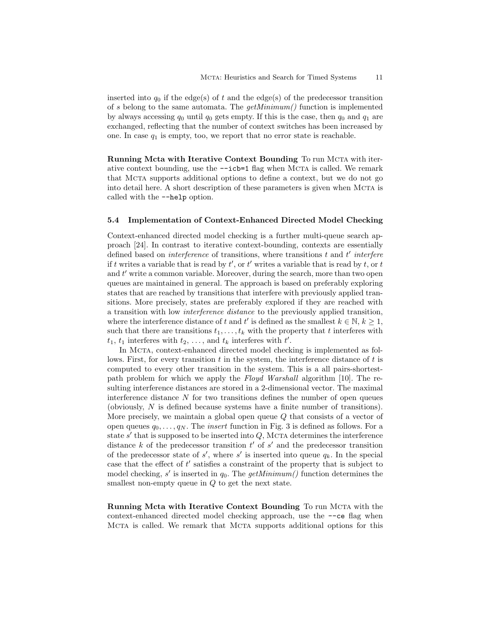inserted into  $q_0$  if the edge(s) of t and the edge(s) of the predecessor transition of s belong to the same automata. The  $getMinimum()$  function is implemented by always accessing  $q_0$  until  $q_0$  gets empty. If this is the case, then  $q_0$  and  $q_1$  are exchanged, reflecting that the number of context switches has been increased by one. In case  $q_1$  is empty, too, we report that no error state is reachable.

Running Mcta with Iterative Context Bounding To run Mcta with iterative context bounding, use the  $-\text{icb=1}$  flag when MCTA is called. We remark that Mcta supports additional options to define a context, but we do not go into detail here. A short description of these parameters is given when Mcta is called with the --help option.

#### 5.4 Implementation of Context-Enhanced Directed Model Checking

Context-enhanced directed model checking is a further multi-queue search approach [24]. In contrast to iterative context-bounding, contexts are essentially defined based on *interference* of transitions, where transitions  $t$  and  $t'$  *interfere* if t writes a variable that is read by  $t'$ , or  $t'$  writes a variable that is read by t, or t and  $t'$  write a common variable. Moreover, during the search, more than two open queues are maintained in general. The approach is based on preferably exploring states that are reached by transitions that interfere with previously applied transitions. More precisely, states are preferably explored if they are reached with a transition with low interference distance to the previously applied transition, where the interference distance of t and t' is defined as the smallest  $k \in \mathbb{N}, k \geq 1$ , such that there are transitions  $t_1, \ldots, t_k$  with the property that t interferes with  $t_1, t_1$  interferes with  $t_2, \ldots$ , and  $t_k$  interferes with  $t'$ .

In Mcta, context-enhanced directed model checking is implemented as follows. First, for every transition  $t$  in the system, the interference distance of  $t$  is computed to every other transition in the system. This is a all pairs-shortestpath problem for which we apply the Floyd Warshall algorithm [10]. The resulting interference distances are stored in a 2-dimensional vector. The maximal interference distance  $N$  for two transitions defines the number of open queues (obviously, N is defined because systems have a finite number of transitions). More precisely, we maintain a global open queue  $Q$  that consists of a vector of open queues  $q_0, \ldots, q_N$ . The *insert* function in Fig. 3 is defined as follows. For a state  $s'$  that is supposed to be inserted into  $Q$ , MCTA determines the interference distance  $k$  of the predecessor transition  $t'$  of  $s'$  and the predecessor transition of the predecessor state of  $s'$ , where  $s'$  is inserted into queue  $q_k$ . In the special case that the effect of  $t'$  satisfies a constraint of the property that is subject to model checking,  $s'$  is inserted in  $q_0$ . The  $getMinimum()$  function determines the smallest non-empty queue in Q to get the next state.

Running Mcta with Iterative Context Bounding To run Mcta with the context-enhanced directed model checking approach, use the  $\text{-ce flag}$  when MCTA is called. We remark that MCTA supports additional options for this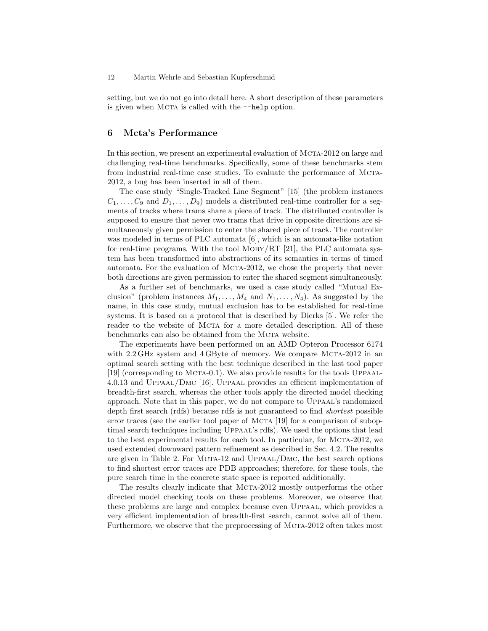setting, but we do not go into detail here. A short description of these parameters is given when Mcta is called with the --help option.

# 6 Mcta's Performance

In this section, we present an experimental evaluation of Mcta-2012 on large and challenging real-time benchmarks. Specifically, some of these benchmarks stem from industrial real-time case studies. To evaluate the performance of Mcta-2012, a bug has been inserted in all of them.

The case study "Single-Tracked Line Segment" [15] (the problem instances  $C_1, \ldots, C_9$  and  $D_1, \ldots, D_9$ ) models a distributed real-time controller for a segments of tracks where trams share a piece of track. The distributed controller is supposed to ensure that never two trams that drive in opposite directions are simultaneously given permission to enter the shared piece of track. The controller was modeled in terms of PLC automata [6], which is an automata-like notation for real-time programs. With the tool MOBY/RT [21], the PLC automata system has been transformed into abstractions of its semantics in terms of timed automata. For the evaluation of Mcta-2012, we chose the property that never both directions are given permission to enter the shared segment simultaneously.

As a further set of benchmarks, we used a case study called "Mutual Exclusion" (problem instances  $M_1, \ldots, M_4$  and  $N_1, \ldots, N_4$ ). As suggested by the name, in this case study, mutual exclusion has to be established for real-time systems. It is based on a protocol that is described by Dierks [5]. We refer the reader to the website of Mcta for a more detailed description. All of these benchmarks can also be obtained from the MCTA website.

The experiments have been performed on an AMD Opteron Processor 6174 with 2.2 GHz system and 4 GByte of memory. We compare MCTA-2012 in an optimal search setting with the best technique described in the last tool paper [19] (corresponding to Mcta-0.1). We also provide results for the tools Uppaal-4.0.13 and Uppaal/Dmc [16]. Uppaal provides an efficient implementation of breadth-first search, whereas the other tools apply the directed model checking approach. Note that in this paper, we do not compare to Uppaal's randomized depth first search (rdfs) because rdfs is not guaranteed to find shortest possible error traces (see the earlier tool paper of MCTA [19] for a comparison of suboptimal search techniques including Uppaal's rdfs). We used the options that lead to the best experimental results for each tool. In particular, for Mcta-2012, we used extended downward pattern refinement as described in Sec. 4.2. The results are given in Table 2. For Mcta-12 and Uppaal/Dmc, the best search options to find shortest error traces are PDB approaches; therefore, for these tools, the pure search time in the concrete state space is reported additionally.

The results clearly indicate that Mcta-2012 mostly outperforms the other directed model checking tools on these problems. Moreover, we observe that these problems are large and complex because even Uppaal, which provides a very efficient implementation of breadth-first search, cannot solve all of them. Furthermore, we observe that the preprocessing of MCTA-2012 often takes most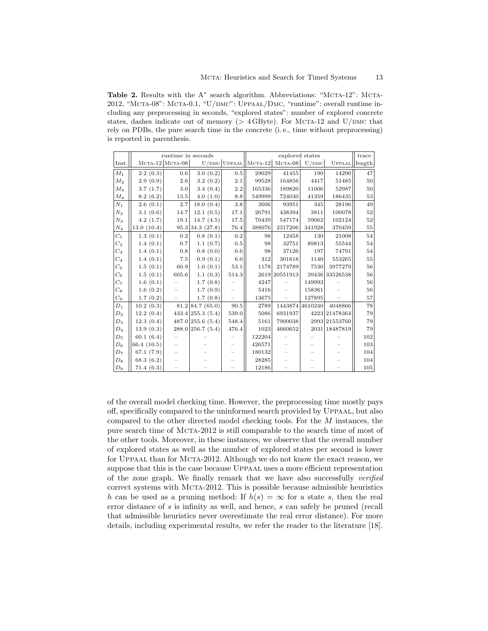Table 2. Results with the A<sup>\*</sup> search algorithm. Abbreviations: "MCTA-12": MCTA-2012, "MCTA-08": MCTA-0.1, "U/DMC": UPPAAL/DMC, "runtime": overall runtime including any preprocessing in seconds, "explored states": number of explored concrete states, dashes indicate out of memory ( $>$  4 GByte). For MCTA-12 and U/DMC that rely on PDBs, the pure search time in the concrete (i. e., time without preprocessing) is reported in parenthesis.

|                    | runtime in seconds |                   |                       |                          | explored states |                                |                 |                | trace  |
|--------------------|--------------------|-------------------|-----------------------|--------------------------|-----------------|--------------------------------|-----------------|----------------|--------|
| Inst.              |                    | $MCTA-12$ MCTA-08 |                       |                          |                 | $U/DMC$ UPPAAL MCTA-12 MCTA-08 | U/DMC           | UPPAAL  length |        |
| $M_1$              | 2.2(0.3)           | 0.6               | 3.0(0.2)              | 0.5                      | 29029           | 41455                          | 190             | 14290          | 47     |
| $M_2$              | 2.9(0.9)           | 2.6               | 3.2(0.2)              | 2.1                      | 99528           | 164856                         | 4417            | 51485          | 50     |
| $M_3$              | 3.7(1.7)           | 3.0               | 3.4 $(0.4)$           | 2.2                      | 165336          | 189820                         | 11006           | 52987          | 50     |
| $M_4$              | 8.2(6.2)           | 13.5              | 4.0(1.0)              | 8.8                      | 549999          | 724030                         | 41359           | 186435         | 53     |
| $N_1$              | 2.6(0.1)           | $2.7\,$           | 18.0(0.4)             | 3.8                      | 3606            | 93951                          | 345             | 28196          | 49     |
| $N_2$              | 3.1(0.6)           | 14.7              | 12.1(0.5)             | 17.1                     | 26791           | 438394                         | 3811            | 100078         | 52     |
| $N_3$              | 4.2(1.7)           | 19.1              | 14.7(4.5)             | 17.5                     | 70439           | 547174                         | 59062           | 102124         | $52\,$ |
| $N_{\rm 4}$        | 13.0(10.4)         |                   | 95.3 34.3(27.8)       | 76.4                     | 388076          | 2317206                        | 341928          | 370459         | 55     |
| $C_1$              | 1.3(0.1)           | 0.2               | 0.8(0.1)              | 0.2                      | 98              | 12458                          | 130             | 21008          | 54     |
| $C_2$              | 1.4(0.1)           | 0.7               | 1.1(0.7)              | 0.5                      | 98              | 32751                          | 89813           | 55544          | 54     |
| $C_3$              | 1.4(0.1)           | $0.8\,$           | 0.8(0.0)              | 0.6                      | 98              | 37126                          | 197             | 74791          | 54     |
| $\scriptstyle C_4$ | 1.4(0.1)           | 7.5               | 0.9(0.1)              | 6.0                      | 312             | 301818                         | 1140            | 553265         | $55\,$ |
| $C_5$              | 1.5(0.1)           | 60.9              | 1.0(0.1)              | 53.1                     | 1178            | 2174789                        | 7530            | 3977279        | 56     |
| $C_6$              | 1.5(0.1)           | 605.6             | 1.1(0.3)              | 514.3                    |                 | 2619 20551913                  |                 | 39436 33526538 | 56     |
| $C_7$              | 1.6(0.1)           |                   | 1.7(0.8)              |                          | 4247            |                                | 149993          |                | 56     |
| $C_{8}$            | 1.6(0.2)           |                   | 1.7(0.9)              |                          | 5416            |                                | 158361          |                | 56     |
| $C_9$              | 1.7(0.2)           |                   | 1.7(0.8)              | $\overline{\phantom{0}}$ | 13675           |                                | 127895          |                | 57     |
| $D_1$              | 10.2(0.3)          |                   | 81.2 84.7(65.0)       | 90.5                     | 2789            |                                | 1443874 4610240 | 4048866        | 78     |
| $D_2$              | 12.2(0.4)          |                   | 433.4 255.3 (5.4)     | 539.0                    | 5086            | 6931937                        |                 | 4223 21478364  | 79     |
| $D_3$              | 12.3(0.4)          |                   | 487.0 255.6(5.4)      | 548.4                    | 5161            | 7900038                        |                 | 2993 21553760  | 79     |
| $D_4$              | 13.9(0.3)          |                   | $288.0$ $256.7$ (5.4) | 476.4                    | 1023            | 4660652                        |                 | 2031 18487819  | 79     |
| $D_5$              | 60.1 $(6.4)$       |                   |                       |                          | 122204          |                                |                 |                | 102    |
| $D_6$              | 66.4 (10.5)        |                   |                       |                          | 426571          |                                |                 |                | 103    |
| $D_7$              | 67.1(7.9)          |                   |                       |                          | 180132          |                                |                 |                | 104    |
| $D_8$              | 68.3(6.2)          |                   |                       |                          | 28285           |                                |                 |                | 104    |
| $D_9$              | 71.4(6.3)          |                   |                       |                          | 12186           |                                |                 |                | 105    |

of the overall model checking time. However, the preprocessing time mostly pays off, specifically compared to the uninformed search provided by Uppaal, but also compared to the other directed model checking tools. For the M instances, the pure search time of Mcta-2012 is still comparable to the search time of most of the other tools. Moreover, in these instances, we observe that the overall number of explored states as well as the number of explored states per second is lower for UPPAAL than for MCTA-2012. Although we do not know the exact reason, we suppose that this is the case because Uppaal uses a more efficient representation of the zone graph. We finally remark that we have also successfully verified correct systems with Mcta-2012. This is possible because admissible heuristics h can be used as a pruning method: If  $h(s) = \infty$  for a state s, then the real error distance of s is infinity as well, and hence, s can safely be pruned (recall that admissible heuristics never overestimate the real error distance). For more details, including experimental results, we refer the reader to the literature [18].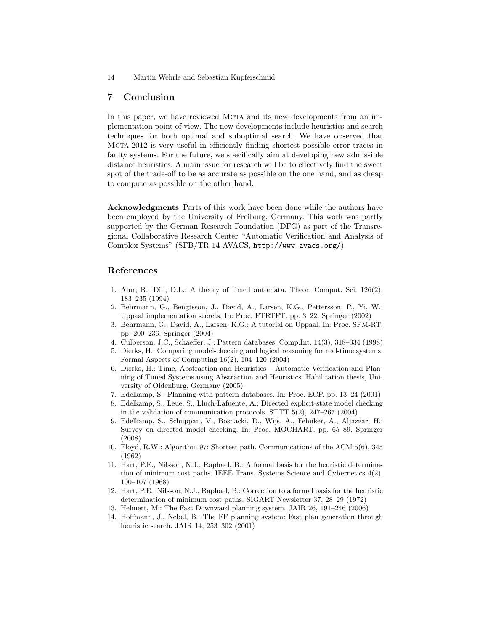# 7 Conclusion

In this paper, we have reviewed MCTA and its new developments from an implementation point of view. The new developments include heuristics and search techniques for both optimal and suboptimal search. We have observed that Mcta-2012 is very useful in efficiently finding shortest possible error traces in faulty systems. For the future, we specifically aim at developing new admissible distance heuristics. A main issue for research will be to effectively find the sweet spot of the trade-off to be as accurate as possible on the one hand, and as cheap to compute as possible on the other hand.

Acknowledgments Parts of this work have been done while the authors have been employed by the University of Freiburg, Germany. This work was partly supported by the German Research Foundation (DFG) as part of the Transregional Collaborative Research Center "Automatic Verification and Analysis of Complex Systems" (SFB/TR 14 AVACS, http://www.avacs.org/).

# References

- 1. Alur, R., Dill, D.L.: A theory of timed automata. Theor. Comput. Sci. 126(2), 183–235 (1994)
- 2. Behrmann, G., Bengtsson, J., David, A., Larsen, K.G., Pettersson, P., Yi, W.: Uppaal implementation secrets. In: Proc. FTRTFT. pp. 3–22. Springer (2002)
- 3. Behrmann, G., David, A., Larsen, K.G.: A tutorial on Uppaal. In: Proc. SFM-RT. pp. 200–236. Springer (2004)
- 4. Culberson, J.C., Schaeffer, J.: Pattern databases. Comp.Int. 14(3), 318–334 (1998)
- 5. Dierks, H.: Comparing model-checking and logical reasoning for real-time systems. Formal Aspects of Computing 16(2), 104–120 (2004)
- 6. Dierks, H.: Time, Abstraction and Heuristics Automatic Verification and Planning of Timed Systems using Abstraction and Heuristics. Habilitation thesis, University of Oldenburg, Germany (2005)
- 7. Edelkamp, S.: Planning with pattern databases. In: Proc. ECP. pp. 13–24 (2001)
- 8. Edelkamp, S., Leue, S., Lluch-Lafuente, A.: Directed explicit-state model checking in the validation of communication protocols. STTT 5(2), 247–267 (2004)
- 9. Edelkamp, S., Schuppan, V., Bosnacki, D., Wijs, A., Fehnker, A., Aljazzar, H.: Survey on directed model checking. In: Proc. MOCHART. pp. 65–89. Springer (2008)
- 10. Floyd, R.W.: Algorithm 97: Shortest path. Communications of the ACM 5(6), 345 (1962)
- 11. Hart, P.E., Nilsson, N.J., Raphael, B.: A formal basis for the heuristic determination of minimum cost paths. IEEE Trans. Systems Science and Cybernetics 4(2), 100–107 (1968)
- 12. Hart, P.E., Nilsson, N.J., Raphael, B.: Correction to a formal basis for the heuristic determination of minimum cost paths. SIGART Newsletter 37, 28–29 (1972)
- 13. Helmert, M.: The Fast Downward planning system. JAIR 26, 191–246 (2006)
- 14. Hoffmann, J., Nebel, B.: The FF planning system: Fast plan generation through heuristic search. JAIR 14, 253–302 (2001)